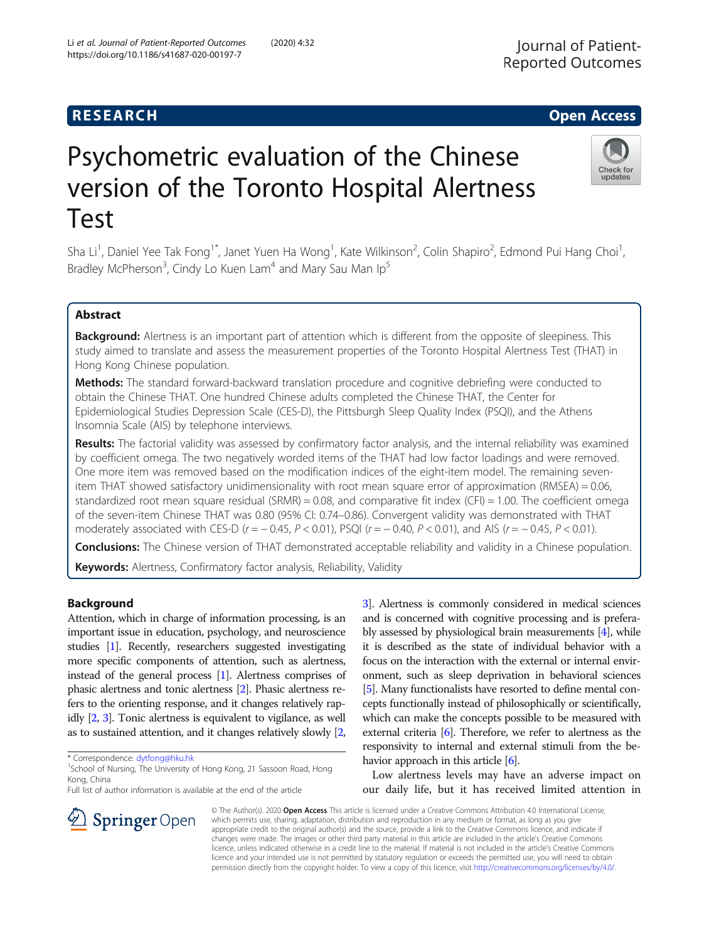# Psychometric evaluation of the Chinese version of the Toronto Hospital Alertness Test

Sha Li<sup>1</sup>, Daniel Yee Tak Fong<sup>1\*</sup>, Janet Yuen Ha Wong<sup>1</sup>, Kate Wilkinson<sup>2</sup>, Colin Shapiro<sup>2</sup>, Edmond Pui Hang Choi<sup>1</sup> , Bradley McPherson<sup>3</sup>, Cindy Lo Kuen Lam<sup>4</sup> and Mary Sau Man Ip<sup>5</sup>

# Abstract

Background: Alertness is an important part of attention which is different from the opposite of sleepiness. This study aimed to translate and assess the measurement properties of the Toronto Hospital Alertness Test (THAT) in Hong Kong Chinese population.

Methods: The standard forward-backward translation procedure and cognitive debriefing were conducted to obtain the Chinese THAT. One hundred Chinese adults completed the Chinese THAT, the Center for Epidemiological Studies Depression Scale (CES-D), the Pittsburgh Sleep Quality Index (PSQI), and the Athens Insomnia Scale (AIS) by telephone interviews.

Results: The factorial validity was assessed by confirmatory factor analysis, and the internal reliability was examined by coefficient omega. The two negatively worded items of the THAT had low factor loadings and were removed. One more item was removed based on the modification indices of the eight-item model. The remaining sevenitem THAT showed satisfactory unidimensionality with root mean square error of approximation (RMSEA) = 0.06, standardized root mean square residual (SRMR) = 0.08, and comparative fit index (CFI) = 1.00. The coefficient omega of the seven-item Chinese THAT was 0.80 (95% CI: 0.74–0.86). Convergent validity was demonstrated with THAT moderately associated with CES-D ( $r = -0.45$ ,  $P < 0.01$ ), PSQI ( $r = -0.40$ ,  $P < 0.01$ ), and AIS ( $r = -0.45$ ,  $P < 0.01$ ).

Conclusions: The Chinese version of THAT demonstrated acceptable reliability and validity in a Chinese population.

**Keywords:** Alertness, Confirmatory factor analysis, Reliability, Validity

# Background

Attention, which in charge of information processing, is an important issue in education, psychology, and neuroscience studies [\[1](#page-5-0)]. Recently, researchers suggested investigating more specific components of attention, such as alertness, instead of the general process [\[1\]](#page-5-0). Alertness comprises of phasic alertness and tonic alertness [[2](#page-5-0)]. Phasic alertness refers to the orienting response, and it changes relatively rapidly [[2](#page-5-0), [3](#page-5-0)]. Tonic alertness is equivalent to vigilance, as well as to sustained attention, and it changes relatively slowly [[2](#page-5-0),

\* Correspondence: [dytfong@hku.hk](mailto:dytfong@hku.hk) <sup>1</sup>

<sup>1</sup> School of Nursing, The University of Hong Kong, 21 Sassoon Road, Hong Kong, China

Full list of author information is available at the end of the article

[3](#page-5-0)]. Alertness is commonly considered in medical sciences and is concerned with cognitive processing and is preferably assessed by physiological brain measurements [\[4\]](#page-5-0), while it is described as the state of individual behavior with a focus on the interaction with the external or internal environment, such as sleep deprivation in behavioral sciences [[5](#page-5-0)]. Many functionalists have resorted to define mental concepts functionally instead of philosophically or scientifically, which can make the concepts possible to be measured with external criteria [\[6\]](#page-5-0). Therefore, we refer to alertness as the responsivity to internal and external stimuli from the be-havior approach in this article [\[6\]](#page-5-0).

Low alertness levels may have an adverse impact on our daily life, but it has received limited attention in

© The Author(s). 2020 Open Access This article is licensed under a Creative Commons Attribution 4.0 International License, which permits use, sharing, adaptation, distribution and reproduction in any medium or format, as long as you give appropriate credit to the original author(s) and the source, provide a link to the Creative Commons licence, and indicate if changes were made. The images or other third party material in this article are included in the article's Creative Commons licence, unless indicated otherwise in a credit line to the material. If material is not included in the article's Creative Commons licence and your intended use is not permitted by statutory regulation or exceeds the permitted use, you will need to obtain permission directly from the copyright holder. To view a copy of this licence, visit <http://creativecommons.org/licenses/by/4.0/>.





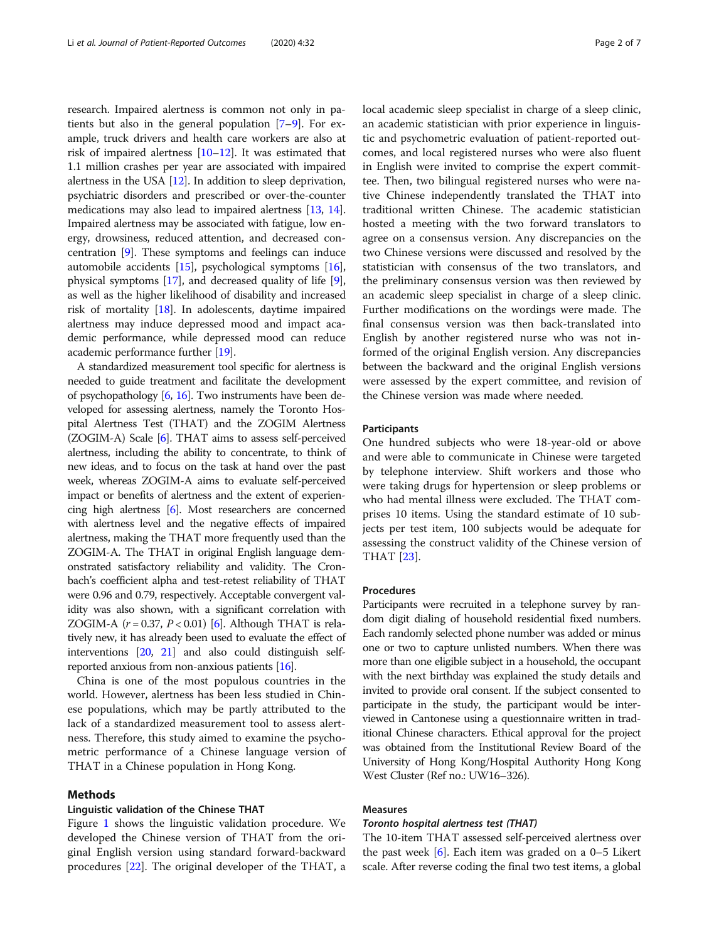research. Impaired alertness is common not only in patients but also in the general population [[7](#page-5-0)–[9](#page-5-0)]. For example, truck drivers and health care workers are also at risk of impaired alertness [[10](#page-5-0)–[12\]](#page-5-0). It was estimated that 1.1 million crashes per year are associated with impaired alertness in the USA [\[12\]](#page-5-0). In addition to sleep deprivation, psychiatric disorders and prescribed or over-the-counter medications may also lead to impaired alertness [\[13,](#page-5-0) [14](#page-5-0)]. Impaired alertness may be associated with fatigue, low energy, drowsiness, reduced attention, and decreased concentration [[9\]](#page-5-0). These symptoms and feelings can induce automobile accidents [\[15](#page-5-0)], psychological symptoms [[16](#page-5-0)], physical symptoms [\[17\]](#page-5-0), and decreased quality of life [[9](#page-5-0)], as well as the higher likelihood of disability and increased risk of mortality [\[18\]](#page-5-0). In adolescents, daytime impaired alertness may induce depressed mood and impact academic performance, while depressed mood can reduce academic performance further [\[19](#page-5-0)].

A standardized measurement tool specific for alertness is needed to guide treatment and facilitate the development of psychopathology [\[6](#page-5-0), [16](#page-5-0)]. Two instruments have been developed for assessing alertness, namely the Toronto Hospital Alertness Test (THAT) and the ZOGIM Alertness (ZOGIM-A) Scale [[6\]](#page-5-0). THAT aims to assess self-perceived alertness, including the ability to concentrate, to think of new ideas, and to focus on the task at hand over the past week, whereas ZOGIM-A aims to evaluate self-perceived impact or benefits of alertness and the extent of experiencing high alertness [[6\]](#page-5-0). Most researchers are concerned with alertness level and the negative effects of impaired alertness, making the THAT more frequently used than the ZOGIM-A. The THAT in original English language demonstrated satisfactory reliability and validity. The Cronbach's coefficient alpha and test-retest reliability of THAT were 0.96 and 0.79, respectively. Acceptable convergent validity was also shown, with a significant correlation with ZOGIM-A  $(r = 0.37, P < 0.01)$  [[6\]](#page-5-0). Although THAT is relatively new, it has already been used to evaluate the effect of interventions [\[20,](#page-5-0) [21\]](#page-5-0) and also could distinguish selfreported anxious from non-anxious patients [[16](#page-5-0)].

China is one of the most populous countries in the world. However, alertness has been less studied in Chinese populations, which may be partly attributed to the lack of a standardized measurement tool to assess alertness. Therefore, this study aimed to examine the psychometric performance of a Chinese language version of THAT in a Chinese population in Hong Kong.

## Methods

## Linguistic validation of the Chinese THAT

Figure [1](#page-2-0) shows the linguistic validation procedure. We developed the Chinese version of THAT from the original English version using standard forward-backward procedures [[22](#page-5-0)]. The original developer of the THAT, a local academic sleep specialist in charge of a sleep clinic, an academic statistician with prior experience in linguistic and psychometric evaluation of patient-reported outcomes, and local registered nurses who were also fluent in English were invited to comprise the expert committee. Then, two bilingual registered nurses who were native Chinese independently translated the THAT into traditional written Chinese. The academic statistician hosted a meeting with the two forward translators to agree on a consensus version. Any discrepancies on the two Chinese versions were discussed and resolved by the statistician with consensus of the two translators, and the preliminary consensus version was then reviewed by an academic sleep specialist in charge of a sleep clinic. Further modifications on the wordings were made. The final consensus version was then back-translated into English by another registered nurse who was not informed of the original English version. Any discrepancies between the backward and the original English versions were assessed by the expert committee, and revision of the Chinese version was made where needed.

#### Participants

One hundred subjects who were 18-year-old or above and were able to communicate in Chinese were targeted by telephone interview. Shift workers and those who were taking drugs for hypertension or sleep problems or who had mental illness were excluded. The THAT comprises 10 items. Using the standard estimate of 10 subjects per test item, 100 subjects would be adequate for assessing the construct validity of the Chinese version of THAT [\[23](#page-5-0)].

# Procedures

Participants were recruited in a telephone survey by random digit dialing of household residential fixed numbers. Each randomly selected phone number was added or minus one or two to capture unlisted numbers. When there was more than one eligible subject in a household, the occupant with the next birthday was explained the study details and invited to provide oral consent. If the subject consented to participate in the study, the participant would be interviewed in Cantonese using a questionnaire written in traditional Chinese characters. Ethical approval for the project was obtained from the Institutional Review Board of the University of Hong Kong/Hospital Authority Hong Kong West Cluster (Ref no.: UW16–326).

# Measures

## Toronto hospital alertness test (THAT)

The 10-item THAT assessed self-perceived alertness over the past week  $[6]$  $[6]$ . Each item was graded on a 0–5 Likert scale. After reverse coding the final two test items, a global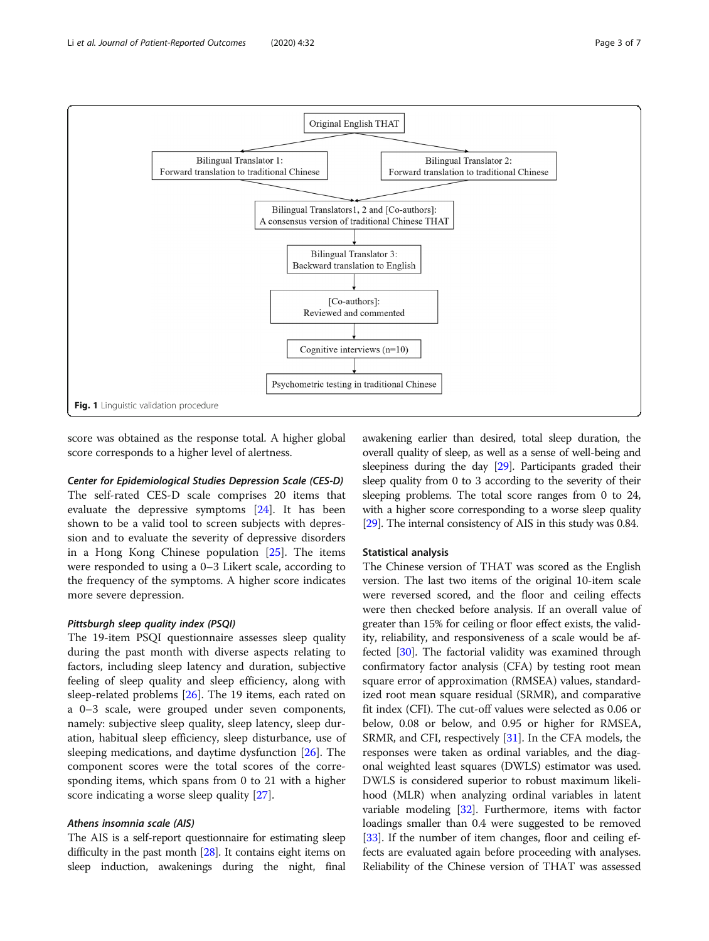<span id="page-2-0"></span>

score was obtained as the response total. A higher global score corresponds to a higher level of alertness.

## Center for Epidemiological Studies Depression Scale (CES-D)

The self-rated CES-D scale comprises 20 items that evaluate the depressive symptoms [\[24](#page-5-0)]. It has been shown to be a valid tool to screen subjects with depression and to evaluate the severity of depressive disorders in a Hong Kong Chinese population [\[25\]](#page-5-0). The items were responded to using a 0–3 Likert scale, according to the frequency of the symptoms. A higher score indicates more severe depression.

## Pittsburgh sleep quality index (PSQI)

The 19-item PSQI questionnaire assesses sleep quality during the past month with diverse aspects relating to factors, including sleep latency and duration, subjective feeling of sleep quality and sleep efficiency, along with sleep-related problems [\[26\]](#page-5-0). The 19 items, each rated on a 0–3 scale, were grouped under seven components, namely: subjective sleep quality, sleep latency, sleep duration, habitual sleep efficiency, sleep disturbance, use of sleeping medications, and daytime dysfunction [[26\]](#page-5-0). The component scores were the total scores of the corresponding items, which spans from 0 to 21 with a higher score indicating a worse sleep quality [\[27](#page-6-0)].

## Athens insomnia scale (AIS)

The AIS is a self-report questionnaire for estimating sleep difficulty in the past month  $[28]$ . It contains eight items on sleep induction, awakenings during the night, final awakening earlier than desired, total sleep duration, the overall quality of sleep, as well as a sense of well-being and sleepiness during the day [\[29](#page-6-0)]. Participants graded their sleep quality from 0 to 3 according to the severity of their sleeping problems. The total score ranges from 0 to 24, with a higher score corresponding to a worse sleep quality [[29](#page-6-0)]. The internal consistency of AIS in this study was 0.84.

## Statistical analysis

The Chinese version of THAT was scored as the English version. The last two items of the original 10-item scale were reversed scored, and the floor and ceiling effects were then checked before analysis. If an overall value of greater than 15% for ceiling or floor effect exists, the validity, reliability, and responsiveness of a scale would be affected [[30\]](#page-6-0). The factorial validity was examined through confirmatory factor analysis (CFA) by testing root mean square error of approximation (RMSEA) values, standardized root mean square residual (SRMR), and comparative fit index (CFI). The cut-off values were selected as 0.06 or below, 0.08 or below, and 0.95 or higher for RMSEA, SRMR, and CFI, respectively [[31](#page-6-0)]. In the CFA models, the responses were taken as ordinal variables, and the diagonal weighted least squares (DWLS) estimator was used. DWLS is considered superior to robust maximum likelihood (MLR) when analyzing ordinal variables in latent variable modeling [[32\]](#page-6-0). Furthermore, items with factor loadings smaller than 0.4 were suggested to be removed [[33](#page-6-0)]. If the number of item changes, floor and ceiling effects are evaluated again before proceeding with analyses. Reliability of the Chinese version of THAT was assessed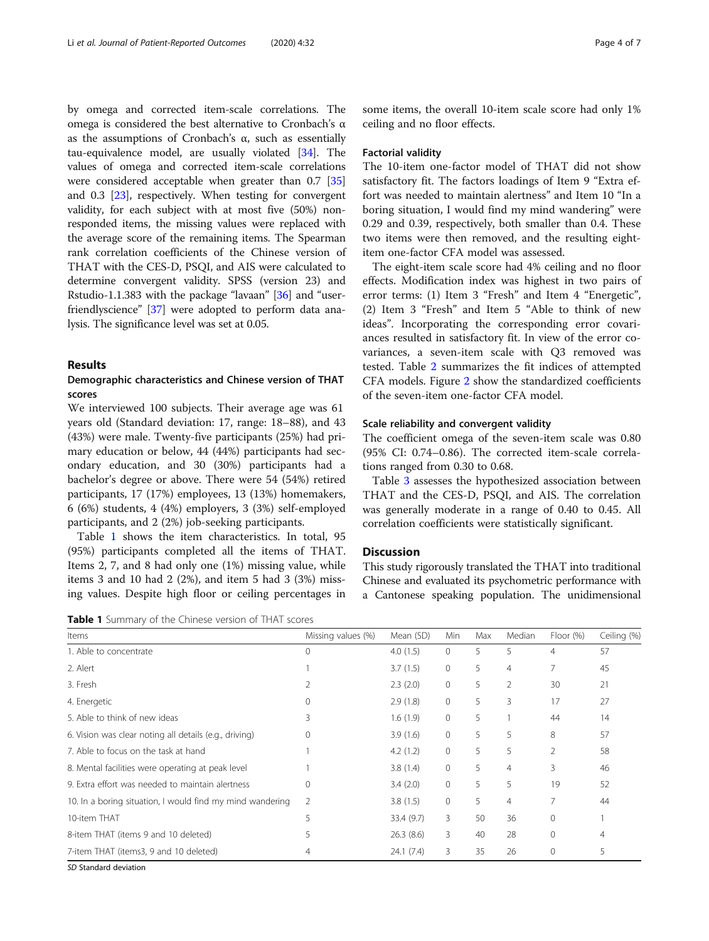by omega and corrected item-scale correlations. The omega is considered the best alternative to Cronbach's α as the assumptions of Cronbach's α, such as essentially tau-equivalence model, are usually violated [\[34\]](#page-6-0). The values of omega and corrected item-scale correlations were considered acceptable when greater than 0.7 [[35](#page-6-0)] and 0.3 [\[23\]](#page-5-0), respectively. When testing for convergent validity, for each subject with at most five (50%) nonresponded items, the missing values were replaced with the average score of the remaining items. The Spearman rank correlation coefficients of the Chinese version of THAT with the CES-D, PSQI, and AIS were calculated to determine convergent validity. SPSS (version 23) and Rstudio-1.1.383 with the package "lavaan" [[36](#page-6-0)] and "userfriendlyscience" [[37](#page-6-0)] were adopted to perform data analysis. The significance level was set at 0.05.

# Results

# Demographic characteristics and Chinese version of THAT scores

We interviewed 100 subjects. Their average age was 61 years old (Standard deviation: 17, range: 18–88), and 43 (43%) were male. Twenty-five participants (25%) had primary education or below, 44 (44%) participants had secondary education, and 30 (30%) participants had a bachelor's degree or above. There were 54 (54%) retired participants, 17 (17%) employees, 13 (13%) homemakers, 6 (6%) students, 4 (4%) employers, 3 (3%) self-employed participants, and 2 (2%) job-seeking participants.

Table 1 shows the item characteristics. In total, 95 (95%) participants completed all the items of THAT. Items 2, 7, and 8 had only one (1%) missing value, while items 3 and 10 had 2 (2%), and item 5 had 3 (3%) missing values. Despite high floor or ceiling percentages in

Table 1 Summary of the Chinese version of THAT scores

some items, the overall 10-item scale score had only 1% ceiling and no floor effects.

## Factorial validity

The 10-item one-factor model of THAT did not show satisfactory fit. The factors loadings of Item 9 "Extra effort was needed to maintain alertness" and Item 10 "In a boring situation, I would find my mind wandering" were 0.29 and 0.39, respectively, both smaller than 0.4. These two items were then removed, and the resulting eightitem one-factor CFA model was assessed.

The eight-item scale score had 4% ceiling and no floor effects. Modification index was highest in two pairs of error terms: (1) Item 3 "Fresh" and Item 4 "Energetic", (2) Item 3 "Fresh" and Item 5 "Able to think of new ideas". Incorporating the corresponding error covariances resulted in satisfactory fit. In view of the error covariances, a seven-item scale with Q3 removed was tested. Table [2](#page-4-0) summarizes the fit indices of attempted CFA models. Figure [2](#page-4-0) show the standardized coefficients of the seven-item one-factor CFA model.

# Scale reliability and convergent validity

The coefficient omega of the seven-item scale was 0.80 (95% CI: 0.74–0.86). The corrected item-scale correlations ranged from 0.30 to 0.68.

Table [3](#page-4-0) assesses the hypothesized association between THAT and the CES-D, PSQI, and AIS. The correlation was generally moderate in a range of 0.40 to 0.45. All correlation coefficients were statistically significant.

# **Discussion**

This study rigorously translated the THAT into traditional Chinese and evaluated its psychometric performance with a Cantonese speaking population. The unidimensional

| Items                                                     | Missing values (%) | Mean (SD)  | Min          | Max | Median         | Floor (%) | Ceiling (%) |
|-----------------------------------------------------------|--------------------|------------|--------------|-----|----------------|-----------|-------------|
| 1. Able to concentrate                                    |                    | 4.0(1.5)   | 0            | 5   | 5              | 4         | 57          |
| 2. Alert                                                  |                    | 3.7(1.5)   | $\circ$      | 5   | 4              | 7         | 45          |
| 3. Fresh                                                  |                    | 2.3(2.0)   | $\mathbf{0}$ | 5   | $\overline{2}$ | 30        | 21          |
| 4. Energetic                                              |                    | 2.9(1.8)   | 0            | 5   | 3              | 17        | 27          |
| 5. Able to think of new ideas                             | 3                  | 1.6(1.9)   | $\circ$      | 5   |                | 44        | 14          |
| 6. Vision was clear noting all details (e.g., driving)    | $\Omega$           | 3.9(1.6)   | $\mathbf{0}$ | 5   | 5              | 8         | 57          |
| 7. Able to focus on the task at hand                      |                    | 4.2(1.2)   | $\mathbf{0}$ | 5   | 5              | 2         | 58          |
| 8. Mental facilities were operating at peak level         |                    | 3.8(1.4)   | $\mathbf{0}$ | 5   | $\overline{4}$ | 3         | 46          |
| 9. Extra effort was needed to maintain alertness          | $\Omega$           | 3.4(2.0)   | $\mathbf{0}$ | 5   | 5              | 19        | 52          |
| 10. In a boring situation, I would find my mind wandering | $\overline{2}$     | 3.8(1.5)   | $\mathbf{0}$ | 5   | $\overline{4}$ | 7         | 44          |
| 10-item THAT                                              | 5                  | 33.4 (9.7) | 3            | 50  | 36             | $\Omega$  |             |
| 8-item THAT (items 9 and 10 deleted)                      | 5                  | 26.3(8.6)  | 3            | 40  | 28             | $\Omega$  | 4           |
| 7-item THAT (items3, 9 and 10 deleted)                    | 4                  | 24.1(7.4)  | 3            | 35  | 26             | 0         | 5           |

SD Standard deviation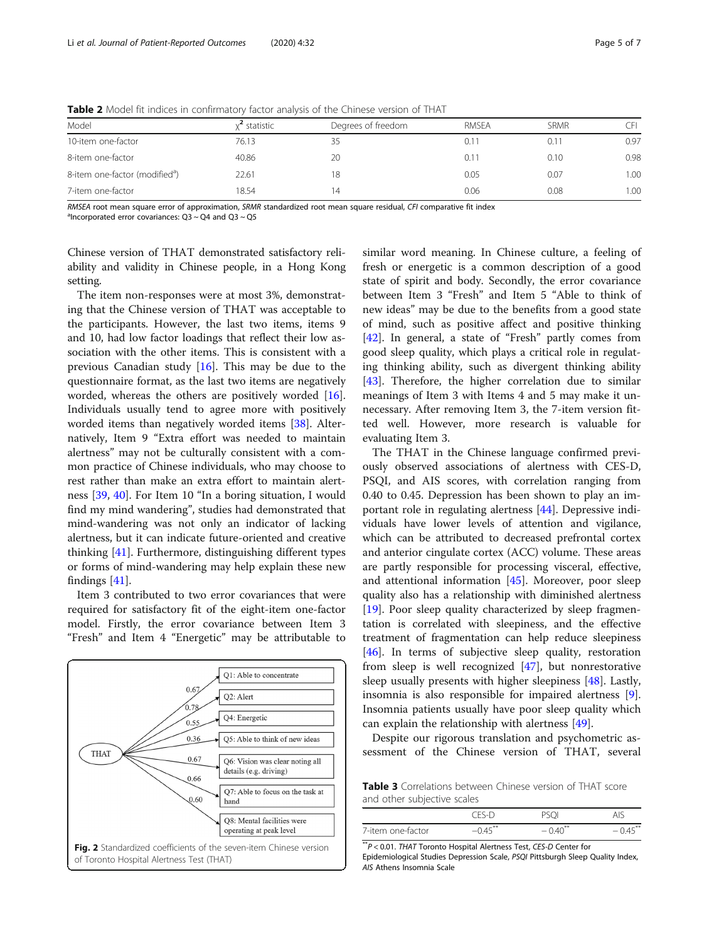| Model                                      | x <sup>2</sup> statistic | Degrees of freedom | RMSEA | <b>SRMR</b> | CFI  |
|--------------------------------------------|--------------------------|--------------------|-------|-------------|------|
| 10-item one-factor                         | 76.13                    |                    | 0.11  | 0.11        | 0.97 |
| 8-item one-factor                          | 40.86                    | 20                 | 0.11  | 0.10        | 0.98 |
| 8-item one-factor (modified <sup>a</sup> ) | 22.61                    | 18                 | 0.05  | 0.07        | 1.00 |
| 7-item one-factor                          | 18.54                    | 14                 | 0.06  | 0.08        | 1.00 |

<span id="page-4-0"></span>Table 2 Model fit indices in confirmatory factor analysis of the Chinese version of THAT

RMSEA root mean square error of approximation, SRMR standardized root mean square residual, CFI comparative fit index

<sup>a</sup>Incorporated error covariances:  $O3 \sim O4$  and  $O3 \sim O5$ 

Chinese version of THAT demonstrated satisfactory reliability and validity in Chinese people, in a Hong Kong setting.

The item non-responses were at most 3%, demonstrating that the Chinese version of THAT was acceptable to the participants. However, the last two items, items 9 and 10, had low factor loadings that reflect their low association with the other items. This is consistent with a previous Canadian study [\[16\]](#page-5-0). This may be due to the questionnaire format, as the last two items are negatively worded, whereas the others are positively worded [\[16](#page-5-0)]. Individuals usually tend to agree more with positively worded items than negatively worded items [\[38\]](#page-6-0). Alternatively, Item 9 "Extra effort was needed to maintain alertness" may not be culturally consistent with a common practice of Chinese individuals, who may choose to rest rather than make an extra effort to maintain alertness [\[39](#page-6-0), [40](#page-6-0)]. For Item 10 "In a boring situation, I would find my mind wandering", studies had demonstrated that mind-wandering was not only an indicator of lacking alertness, but it can indicate future-oriented and creative thinking [[41\]](#page-6-0). Furthermore, distinguishing different types or forms of mind-wandering may help explain these new findings [\[41](#page-6-0)].

Item 3 contributed to two error covariances that were required for satisfactory fit of the eight-item one-factor model. Firstly, the error covariance between Item 3 "Fresh" and Item 4 "Energetic" may be attributable to



similar word meaning. In Chinese culture, a feeling of fresh or energetic is a common description of a good state of spirit and body. Secondly, the error covariance between Item 3 "Fresh" and Item 5 "Able to think of new ideas" may be due to the benefits from a good state of mind, such as positive affect and positive thinking [[42\]](#page-6-0). In general, a state of "Fresh" partly comes from good sleep quality, which plays a critical role in regulating thinking ability, such as divergent thinking ability [[43\]](#page-6-0). Therefore, the higher correlation due to similar meanings of Item 3 with Items 4 and 5 may make it unnecessary. After removing Item 3, the 7-item version fitted well. However, more research is valuable for evaluating Item 3.

The THAT in the Chinese language confirmed previously observed associations of alertness with CES-D, PSQI, and AIS scores, with correlation ranging from 0.40 to 0.45. Depression has been shown to play an important role in regulating alertness [[44\]](#page-6-0). Depressive individuals have lower levels of attention and vigilance, which can be attributed to decreased prefrontal cortex and anterior cingulate cortex (ACC) volume. These areas are partly responsible for processing visceral, effective, and attentional information [\[45](#page-6-0)]. Moreover, poor sleep quality also has a relationship with diminished alertness [[19\]](#page-5-0). Poor sleep quality characterized by sleep fragmentation is correlated with sleepiness, and the effective treatment of fragmentation can help reduce sleepiness [[46\]](#page-6-0). In terms of subjective sleep quality, restoration from sleep is well recognized [[47\]](#page-6-0), but nonrestorative sleep usually presents with higher sleepiness [\[48\]](#page-6-0). Lastly, insomnia is also responsible for impaired alertness [\[9](#page-5-0)]. Insomnia patients usually have poor sleep quality which can explain the relationship with alertness [[49](#page-6-0)].

Despite our rigorous translation and psychometric assessment of the Chinese version of THAT, several

Table 3 Correlations between Chinese version of THAT score and other subjective scales

|                   | EC D  |       |      |
|-------------------|-------|-------|------|
| 7-item one-factor | $***$ | $***$ | $**$ |

\*\*P < 0.01. THAT Toronto Hospital Alertness Test, CES-D Center for Epidemiological Studies Depression Scale, PSQI Pittsburgh Sleep Quality Index, AIS Athens Insomnia Scale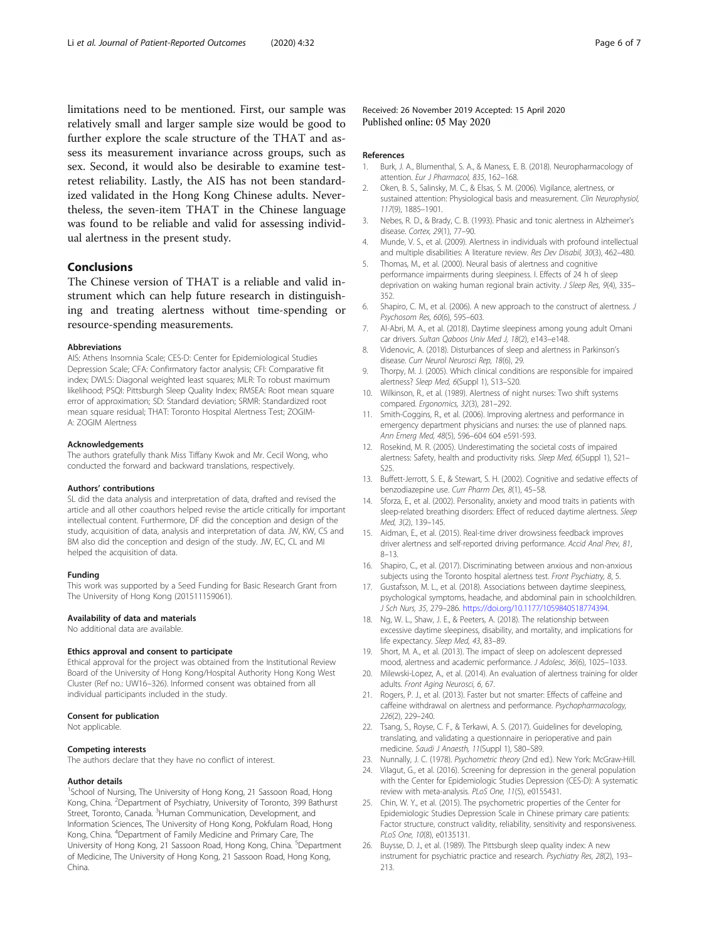<span id="page-5-0"></span>limitations need to be mentioned. First, our sample was relatively small and larger sample size would be good to further explore the scale structure of the THAT and assess its measurement invariance across groups, such as sex. Second, it would also be desirable to examine testretest reliability. Lastly, the AIS has not been standardized validated in the Hong Kong Chinese adults. Nevertheless, the seven-item THAT in the Chinese language was found to be reliable and valid for assessing individual alertness in the present study.

# Conclusions

The Chinese version of THAT is a reliable and valid instrument which can help future research in distinguishing and treating alertness without time-spending or resource-spending measurements.

#### Abbreviations

AIS: Athens Insomnia Scale; CES-D: Center for Epidemiological Studies Depression Scale; CFA: Confirmatory factor analysis; CFI: Comparative fit index; DWLS: Diagonal weighted least squares; MLR: To robust maximum likelihood; PSQI: Pittsburgh Sleep Quality Index; RMSEA: Root mean square error of approximation; SD: Standard deviation; SRMR: Standardized root mean square residual; THAT: Toronto Hospital Alertness Test; ZOGIM-A: ZOGIM Alertness

#### Acknowledgements

The authors gratefully thank Miss Tiffany Kwok and Mr. Cecil Wong, who conducted the forward and backward translations, respectively.

#### Authors' contributions

SL did the data analysis and interpretation of data, drafted and revised the article and all other coauthors helped revise the article critically for important intellectual content. Furthermore, DF did the conception and design of the study, acquisition of data, analysis and interpretation of data. JW, KW, CS and BM also did the conception and design of the study. JW, EC, CL and MI helped the acquisition of data.

#### Funding

This work was supported by a Seed Funding for Basic Research Grant from The University of Hong Kong (201511159061).

#### Availability of data and materials

No additional data are available.

## Ethics approval and consent to participate

Ethical approval for the project was obtained from the Institutional Review Board of the University of Hong Kong/Hospital Authority Hong Kong West Cluster (Ref no.: UW16–326). Informed consent was obtained from all individual participants included in the study.

#### Consent for publication

Not applicable.

#### Competing interests

The authors declare that they have no conflict of interest.

#### Author details

<sup>1</sup>School of Nursing, The University of Hong Kong, 21 Sassoon Road, Hong Kong, China. <sup>2</sup>Department of Psychiatry, University of Toronto, 399 Bathurst Street, Toronto, Canada. <sup>3</sup>Human Communication, Development, and Information Sciences, The University of Hong Kong, Pokfulam Road, Hong Kong, China. <sup>4</sup> Department of Family Medicine and Primary Care, The University of Hong Kong, 21 Sassoon Road, Hong Kong, China. <sup>5</sup>Department of Medicine, The University of Hong Kong, 21 Sassoon Road, Hong Kong, China.

## Received: 26 November 2019 Accepted: 15 April 2020 Published online: 05 May 2020

#### References

- 1. Burk, J. A., Blumenthal, S. A., & Maness, E. B. (2018). Neuropharmacology of attention. Eur J Pharmacol, 835, 162–168.
- 2. Oken, B. S., Salinsky, M. C., & Elsas, S. M. (2006). Vigilance, alertness, or sustained attention: Physiological basis and measurement. Clin Neurophysiol, 117(9), 1885–1901.
- 3. Nebes, R. D., & Brady, C. B. (1993). Phasic and tonic alertness in Alzheimer's disease. Cortex, 29(1), 77–90.
- 4. Munde, V. S., et al. (2009). Alertness in individuals with profound intellectual and multiple disabilities: A literature review. Res Dev Disabil, 30(3), 462–480.
- 5. Thomas, M., et al. (2000). Neural basis of alertness and cognitive performance impairments during sleepiness. I. Effects of 24 h of sleep deprivation on waking human regional brain activity. J Sleep Res, 9(4), 335-352.
- 6. Shapiro, C. M., et al. (2006). A new approach to the construct of alertness. J Psychosom Res, 60(6), 595–603.
- 7. Al-Abri, M. A., et al. (2018). Daytime sleepiness among young adult Omani car drivers. Sultan Qaboos Univ Med J, 18(2), e143–e148.
- 8. Videnovic, A. (2018). Disturbances of sleep and alertness in Parkinson's disease. Curr Neurol Neurosci Rep, 18(6), 29.
- 9. Thorpy, M. J. (2005). Which clinical conditions are responsible for impaired alertness? Sleep Med, 6(Suppl 1), S13–S20.
- 10. Wilkinson, R., et al. (1989). Alertness of night nurses: Two shift systems compared. Ergonomics, 32(3), 281–292.
- 11. Smith-Coggins, R., et al. (2006). Improving alertness and performance in emergency department physicians and nurses: the use of planned naps. Ann Emerg Med, 48(5), 596–604 604 e591-593.
- 12. Rosekind, M. R. (2005). Underestimating the societal costs of impaired alertness: Safety, health and productivity risks. Sleep Med, 6(Suppl 1), S21–  $S25$
- 13. Buffett-Jerrott, S. E., & Stewart, S. H. (2002). Cognitive and sedative effects of benzodiazepine use. Curr Pharm Des, 8(1), 45–58.
- 14. Sforza, E., et al. (2002). Personality, anxiety and mood traits in patients with sleep-related breathing disorders: Effect of reduced daytime alertness. Sleep Med, 3(2), 139–145.
- 15. Aidman, E., et al. (2015). Real-time driver drowsiness feedback improves driver alertness and self-reported driving performance. Accid Anal Prev, 81, 8–13.
- 16. Shapiro, C., et al. (2017). Discriminating between anxious and non-anxious subjects using the Toronto hospital alertness test. Front Psychiatry, 8, 5.
- 17. Gustafsson, M. L., et al. (2018). Associations between daytime sleepiness, psychological symptoms, headache, and abdominal pain in schoolchildren. J Sch Nurs, 35, 279–286. [https://doi.org/10.1177/1059840518774394.](https://doi.org/10.1177/1059840518774394)
- 18. Ng, W. L., Shaw, J. E., & Peeters, A. (2018). The relationship between excessive daytime sleepiness, disability, and mortality, and implications for life expectancy. Sleep Med, 43, 83–89.
- 19. Short, M. A., et al. (2013). The impact of sleep on adolescent depressed mood, alertness and academic performance. J Adolesc, 36(6), 1025–1033.
- 20. Milewski-Lopez, A., et al. (2014). An evaluation of alertness training for older adults. Front Aging Neurosci, 6, 67.
- 21. Rogers, P. J., et al. (2013). Faster but not smarter: Effects of caffeine and caffeine withdrawal on alertness and performance. Psychopharmacology, 226(2), 229–240.
- 22. Tsang, S., Royse, C. F., & Terkawi, A. S. (2017). Guidelines for developing, translating, and validating a questionnaire in perioperative and pain medicine. Saudi J Anaesth, 11(Suppl 1), S80–S89.
- 23. Nunnally, J. C. (1978). Psychometric theory (2nd ed.). New York: McGraw-Hill.
- 24. Vilagut, G., et al. (2016). Screening for depression in the general population with the Center for Epidemiologic Studies Depression (CES-D): A systematic review with meta-analysis. PLoS One, 11(5), e0155431.
- 25. Chin, W. Y., et al. (2015). The psychometric properties of the Center for Epidemiologic Studies Depression Scale in Chinese primary care patients: Factor structure, construct validity, reliability, sensitivity and responsiveness. PLoS One, 10(8), e0135131.
- 26. Buysse, D. J., et al. (1989). The Pittsburgh sleep quality index: A new instrument for psychiatric practice and research. Psychiatry Res, 28(2), 193– 213.